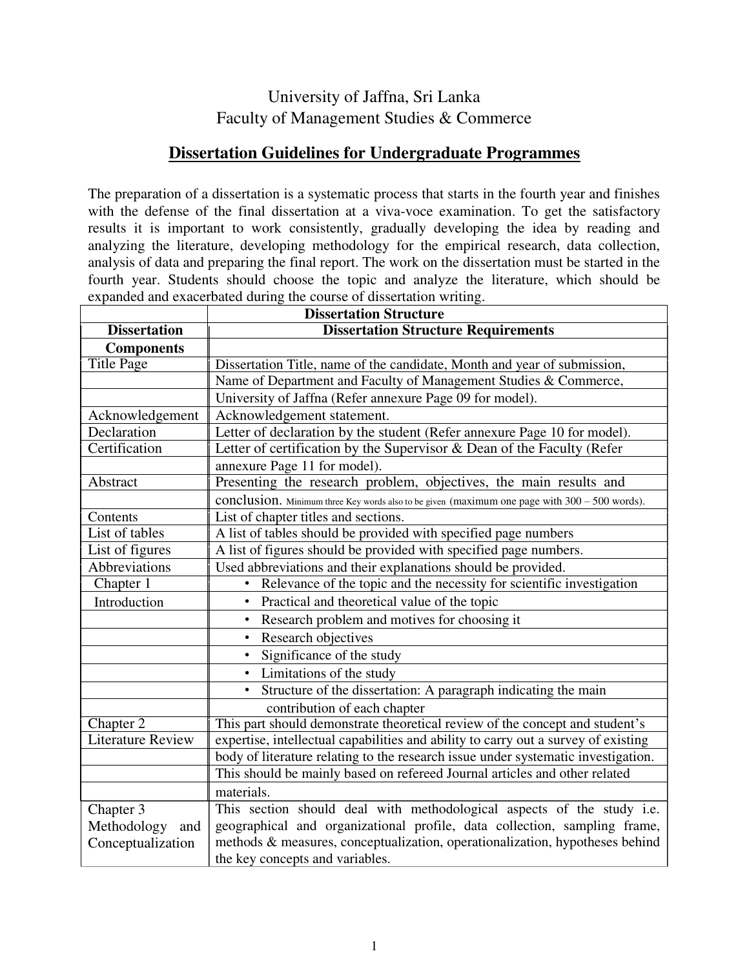# University of Jaffna, Sri Lanka Faculty of Management Studies & Commerce

## **Dissertation Guidelines for Undergraduate Programmes**

The preparation of a dissertation is a systematic process that starts in the fourth year and finishes with the defense of the final dissertation at a viva-voce examination. To get the satisfactory results it is important to work consistently, gradually developing the idea by reading and analyzing the literature, developing methodology for the empirical research, data collection, analysis of data and preparing the final report. The work on the dissertation must be started in the fourth year. Students should choose the topic and analyze the literature, which should be expanded and exacerbated during the course of dissertation writing.

|                                 | <b>Dissertation Structure</b>                                                                 |  |  |  |
|---------------------------------|-----------------------------------------------------------------------------------------------|--|--|--|
| <b>Dissertation</b>             | <b>Dissertation Structure Requirements</b>                                                    |  |  |  |
| <b>Components</b>               |                                                                                               |  |  |  |
| <b>Title Page</b>               | Dissertation Title, name of the candidate, Month and year of submission,                      |  |  |  |
|                                 | Name of Department and Faculty of Management Studies & Commerce,                              |  |  |  |
|                                 | University of Jaffna (Refer annexure Page 09 for model).                                      |  |  |  |
| Acknowledgement                 | Acknowledgement statement.                                                                    |  |  |  |
| Declaration                     | Letter of declaration by the student (Refer annexure Page 10 for model).                      |  |  |  |
| Certification                   | Letter of certification by the Supervisor & Dean of the Faculty (Refer                        |  |  |  |
|                                 | annexure Page 11 for model).                                                                  |  |  |  |
| Abstract                        | Presenting the research problem, objectives, the main results and                             |  |  |  |
|                                 | conclusion. Minimum three Key words also to be given (maximum one page with 300 - 500 words). |  |  |  |
| Contents                        | List of chapter titles and sections.                                                          |  |  |  |
| List of tables                  | A list of tables should be provided with specified page numbers                               |  |  |  |
| List of figures                 | A list of figures should be provided with specified page numbers.                             |  |  |  |
| Abbreviations                   | Used abbreviations and their explanations should be provided.                                 |  |  |  |
| Chapter 1                       | Relevance of the topic and the necessity for scientific investigation                         |  |  |  |
| Introduction                    | Practical and theoretical value of the topic<br>٠                                             |  |  |  |
|                                 | Research problem and motives for choosing it<br>$\bullet$                                     |  |  |  |
|                                 | Research objectives<br>$\bullet$                                                              |  |  |  |
|                                 | Significance of the study<br>$\bullet$                                                        |  |  |  |
|                                 | Limitations of the study<br>$\bullet$                                                         |  |  |  |
|                                 | Structure of the dissertation: A paragraph indicating the main                                |  |  |  |
|                                 | contribution of each chapter                                                                  |  |  |  |
| Chapter 2                       | This part should demonstrate theoretical review of the concept and student's                  |  |  |  |
| <b>Literature Review</b>        | expertise, intellectual capabilities and ability to carry out a survey of existing            |  |  |  |
|                                 | body of literature relating to the research issue under systematic investigation.             |  |  |  |
|                                 | This should be mainly based on refereed Journal articles and other related                    |  |  |  |
|                                 | materials.                                                                                    |  |  |  |
| Chapter 3                       | This section should deal with methodological aspects of the study i.e.                        |  |  |  |
| Methodology<br>and              | geographical and organizational profile, data collection, sampling frame,                     |  |  |  |
| Conceptualization               | methods & measures, conceptualization, operationalization, hypotheses behind                  |  |  |  |
| the key concepts and variables. |                                                                                               |  |  |  |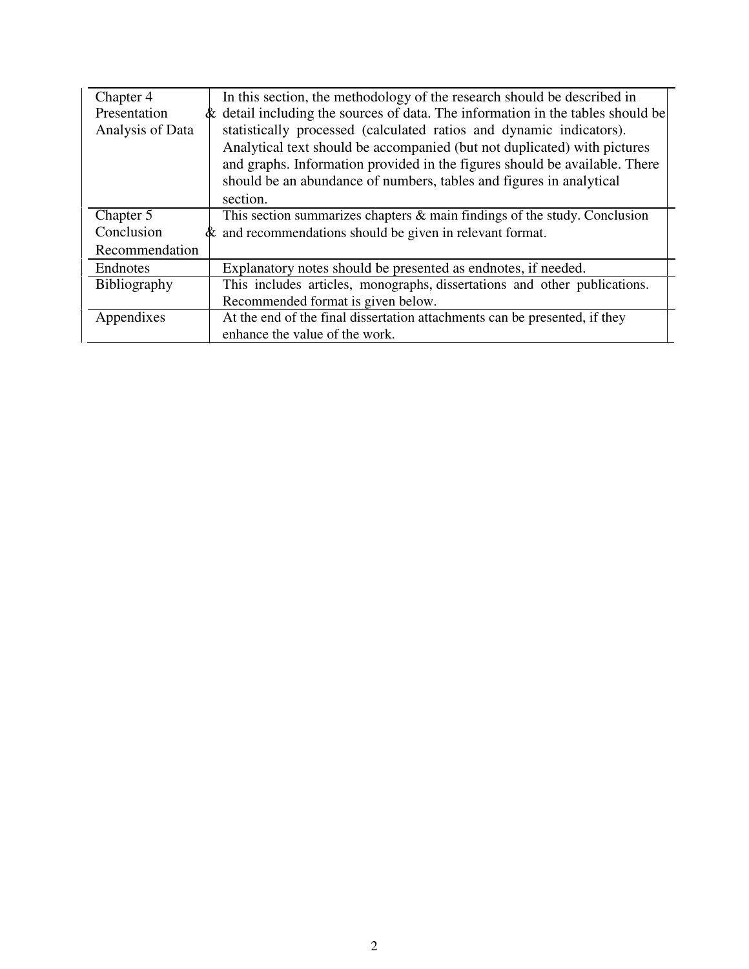| Chapter 4        | In this section, the methodology of the research should be described in         |
|------------------|---------------------------------------------------------------------------------|
| Presentation     | & detail including the sources of data. The information in the tables should be |
| Analysis of Data | statistically processed (calculated ratios and dynamic indicators).             |
|                  | Analytical text should be accompanied (but not duplicated) with pictures        |
|                  | and graphs. Information provided in the figures should be available. There      |
|                  | should be an abundance of numbers, tables and figures in analytical             |
|                  | section.                                                                        |
| Chapter 5        | This section summarizes chapters & main findings of the study. Conclusion       |
| Conclusion       | $\&$ and recommendations should be given in relevant format.                    |
| Recommendation   |                                                                                 |
| Endnotes         | Explanatory notes should be presented as endnotes, if needed.                   |
| Bibliography     | This includes articles, monographs, dissertations and other publications.       |
|                  | Recommended format is given below.                                              |
| Appendixes       | At the end of the final dissertation attachments can be presented, if they      |
|                  | enhance the value of the work.                                                  |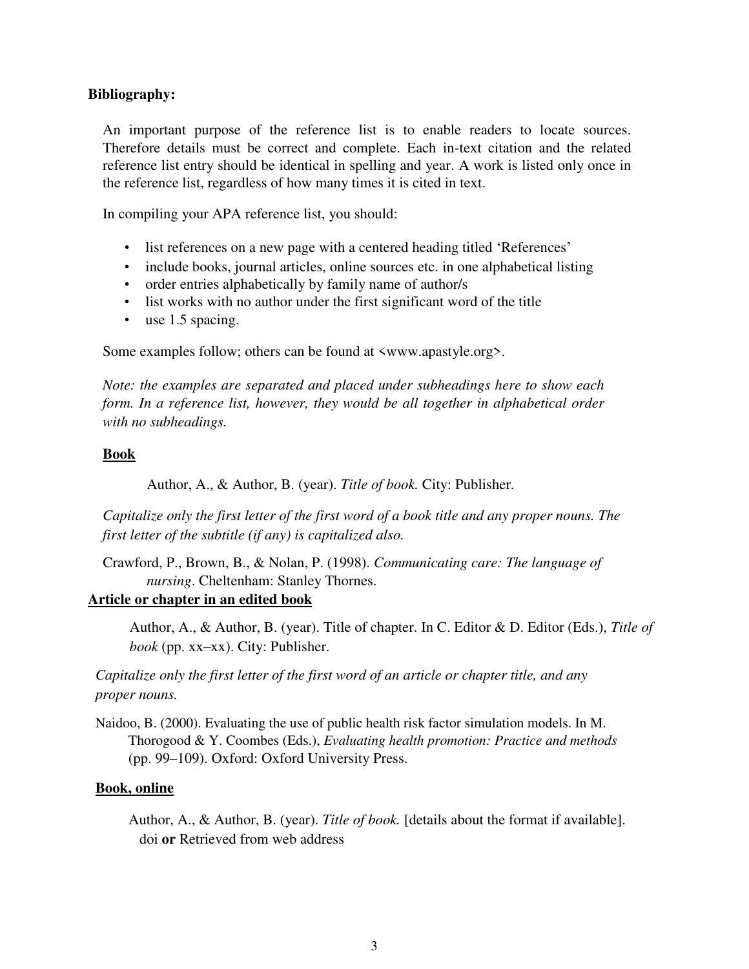## **Bibliography:**

An important purpose of the reference list is to enable readers to locate sources. Therefore details must be correct and complete. Each in-text citation and the related reference list entry should be identical in spelling and year. A work is listed only once in the reference list, regardless of how many times it is cited in text.

In compiling your APA reference list, you should:

- list references on a new page with a centered heading titled 'References'
- include books, journal articles, online sources etc. in one alphabetical listing
- order entries alphabetically by family name of author/s
- list works with no author under the first significant word of the title
- use 1.5 spacing.

Some examples follow; others can be found at  $\langle$ www.apastyle.org>.

*Note: the examples are separated and placed under subheadings here to show each form. In a reference list, however, they would be all together in alphabetical order with no subheadings.*

### **Book**

Author, A., & Author, B. (year). *Title of book.* City: Publisher.

*Capitalize only the first letter of the first word of a book title and any proper nouns. The first letter of the subtitle (if any) is capitalized also.*

Crawford, P., Brown, B., & Nolan, P. (1998). *Communicating care: The language of nursing*. Cheltenham: Stanley Thornes.

## **Article or chapter in an edited book**

Author, A., & Author, B. (year). Title of chapter. In C. Editor & D. Editor (Eds.), *Title of book* (pp. xx–xx). City: Publisher.

*Capitalize only the first letter of the first word of an article or chapter title, and any proper nouns.*

Naidoo, B. (2000). Evaluating the use of public health risk factor simulation models. In M. Thorogood & Y. Coombes (Eds.), *Evaluating health promotion: Practice and methods* (pp. 99–109). Oxford: Oxford University Press.

### **Book, online**

Author, A., & Author, B. (year). *Title of book.* [details about the format if available]. doi **or** Retrieved from web address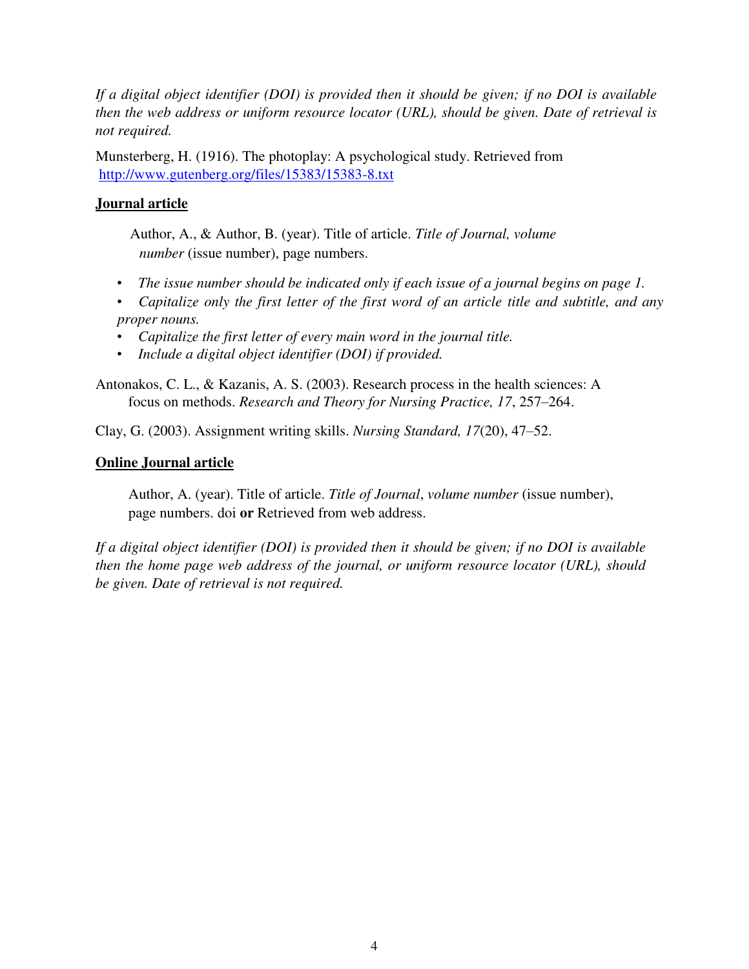*If a digital object identifier (DOI) is provided then it should be given; if no DOI is available then the web address or uniform resource locator (URL), should be given. Date of retrieval is not required.*

Munsterberg, H. (1916). The photoplay: A psychological study. Retrieved from http://www.gutenberg.org/files/15383/15383-8.txt

## **Journal article**

Author, A., & Author, B. (year). Title of article. *Title of Journal, volume number* (issue number), page numbers.

- *The issue number should be indicated only if each issue of a journal begins on page 1.*
- *Capitalize only the first letter of the first word of an article title and subtitle, and any proper nouns.*
- *Capitalize the first letter of every main word in the journal title.*
- *Include a digital object identifier (DOI) if provided.*

Antonakos, C. L., & Kazanis, A. S. (2003). Research process in the health sciences: A focus on methods. *Research and Theory for Nursing Practice, 17*, 257–264.

Clay, G. (2003). Assignment writing skills. *Nursing Standard, 17*(20), 47–52.

## **Online Journal article**

Author, A. (year). Title of article. *Title of Journal*, *volume number* (issue number), page numbers. doi **or** Retrieved from web address.

*If a digital object identifier (DOI) is provided then it should be given; if no DOI is available then the home page web address of the journal, or uniform resource locator (URL), should be given. Date of retrieval is not required.*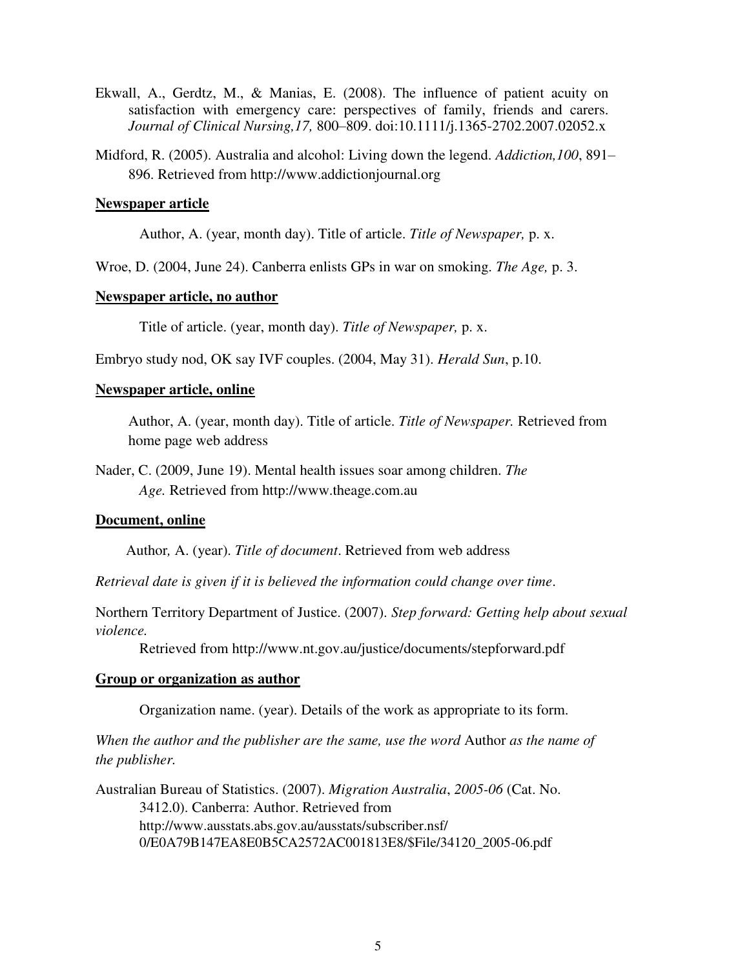- Ekwall, A., Gerdtz, M., & Manias, E. (2008). The influence of patient acuity on satisfaction with emergency care: perspectives of family, friends and carers. *Journal of Clinical Nursing,17,* 800–809. doi:10.1111/j.1365-2702.2007.02052.x
- Midford, R. (2005). Australia and alcohol: Living down the legend. *Addiction,100*, 891– 896. Retrieved from http://www.addictionjournal.org

#### **Newspaper article**

Author, A. (year, month day). Title of article. *Title of Newspaper,* p. x.

Wroe, D. (2004, June 24). Canberra enlists GPs in war on smoking. *The Age,* p. 3.

## **Newspaper article, no author**

Title of article. (year, month day). *Title of Newspaper,* p. x.

Embryo study nod, OK say IVF couples. (2004, May 31). *Herald Sun*, p.10.

## **Newspaper article, online**

Author, A. (year, month day). Title of article. *Title of Newspaper.* Retrieved from home page web address

Nader, C. (2009, June 19). Mental health issues soar among children. *The Age.* Retrieved from http://www.theage.com.au

#### **Document, online**

Author*,* A. (year). *Title of document*. Retrieved from web address

*Retrieval date is given if it is believed the information could change over time*.

Northern Territory Department of Justice. (2007). *Step forward: Getting help about sexual violence.*

Retrieved from http://www.nt.gov.au/justice/documents/stepforward.pdf

#### **Group or organization as author**

Organization name. (year). Details of the work as appropriate to its form.

*When the author and the publisher are the same, use the word* Author *as the name of the publisher.*

Australian Bureau of Statistics. (2007). *Migration Australia*, *2005-06* (Cat. No. 3412.0). Canberra: Author. Retrieved from http://www.ausstats.abs.gov.au/ausstats/subscriber.nsf/ 0/E0A79B147EA8E0B5CA2572AC001813E8/\$File/34120\_2005-06.pdf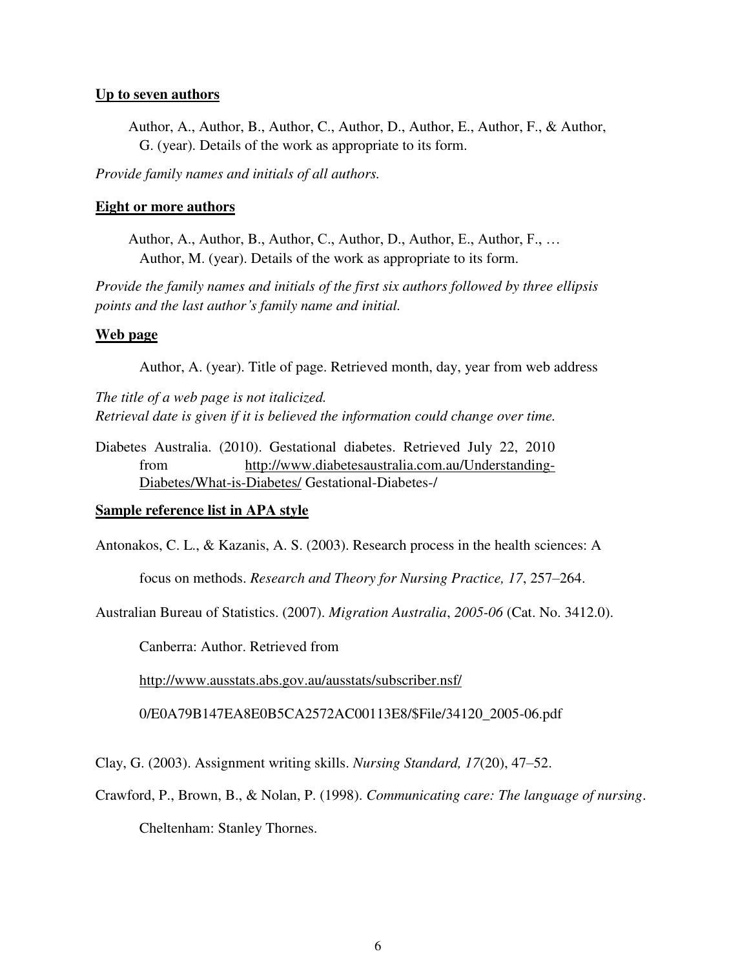## **Up to seven authors**

Author, A., Author, B., Author, C., Author, D., Author, E., Author, F., & Author, G. (year). Details of the work as appropriate to its form.

*Provide family names and initials of all authors.*

## **Eight or more authors**

Author, A., Author, B., Author, C., Author, D., Author, E., Author, F., … Author, M. (year). Details of the work as appropriate to its form.

*Provide the family names and initials of the first six authors followed by three ellipsis points and the last author's family name and initial.*

## **Web page**

Author, A. (year). Title of page. Retrieved month, day, year from web address

*The title of a web page is not italicized. Retrieval date is given if it is believed the information could change over time.*

Diabetes Australia. (2010). Gestational diabetes. Retrieved July 22, 2010 from http://www.diabetesaustralia.com.au/Understanding-Diabetes/What-is-Diabetes/ Gestational-Diabetes-/

### **Sample reference list in APA style**

Antonakos, C. L., & Kazanis, A. S. (2003). Research process in the health sciences: A

focus on methods. *Research and Theory for Nursing Practice, 17*, 257–264.

Australian Bureau of Statistics. (2007). *Migration Australia*, *2005-06* (Cat. No. 3412.0).

Canberra: Author. Retrieved from

http://www.ausstats.abs.gov.au/ausstats/subscriber.nsf/

0/E0A79B147EA8E0B5CA2572AC00113E8/\$File/34120\_2005-06.pdf

Clay, G. (2003). Assignment writing skills. *Nursing Standard, 17*(20), 47–52.

Crawford, P., Brown, B., & Nolan, P. (1998). *Communicating care: The language of nursing*.

Cheltenham: Stanley Thornes.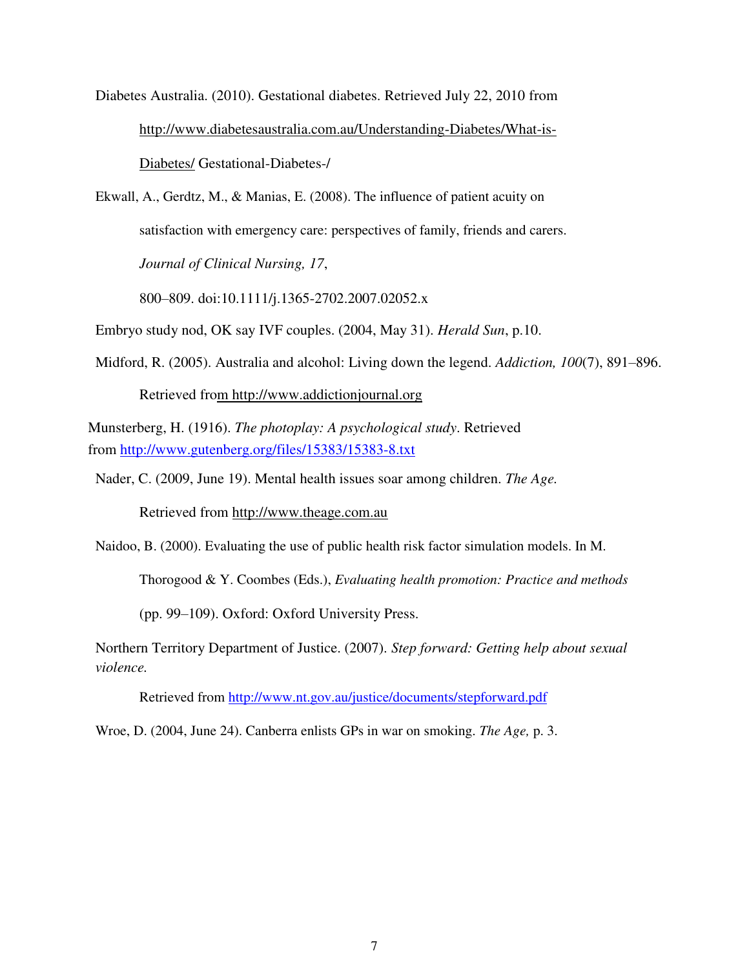Diabetes Australia. (2010). Gestational diabetes. Retrieved July 22, 2010 from http://www.diabetesaustralia.com.au/Understanding-Diabetes/What-is-Diabetes/ Gestational-Diabetes-/

Ekwall, A., Gerdtz, M., & Manias, E. (2008). The influence of patient acuity on satisfaction with emergency care: perspectives of family, friends and carers. *Journal of Clinical Nursing, 17*,

800–809. doi:10.1111/j.1365-2702.2007.02052.x

Embryo study nod, OK say IVF couples. (2004, May 31). *Herald Sun*, p.10.

Midford, R. (2005). Australia and alcohol: Living down the legend. *Addiction, 100*(7), 891–896.

Retrieved from http://www.addictionjournal.org

Munsterberg, H. (1916). *The photoplay: A psychological study*. Retrieved from http://www.gutenberg.org/files/15383/15383-8.txt

Nader, C. (2009, June 19). Mental health issues soar among children. *The Age.*

Retrieved from http://www.theage.com.au

Naidoo, B. (2000). Evaluating the use of public health risk factor simulation models. In M.

Thorogood & Y. Coombes (Eds.), *Evaluating health promotion: Practice and methods*

(pp. 99–109). Oxford: Oxford University Press.

Northern Territory Department of Justice. (2007). *Step forward: Getting help about sexual violence.*

Retrieved from http://www.nt.gov.au/justice/documents/stepforward.pdf

Wroe, D. (2004, June 24). Canberra enlists GPs in war on smoking. *The Age,* p. 3.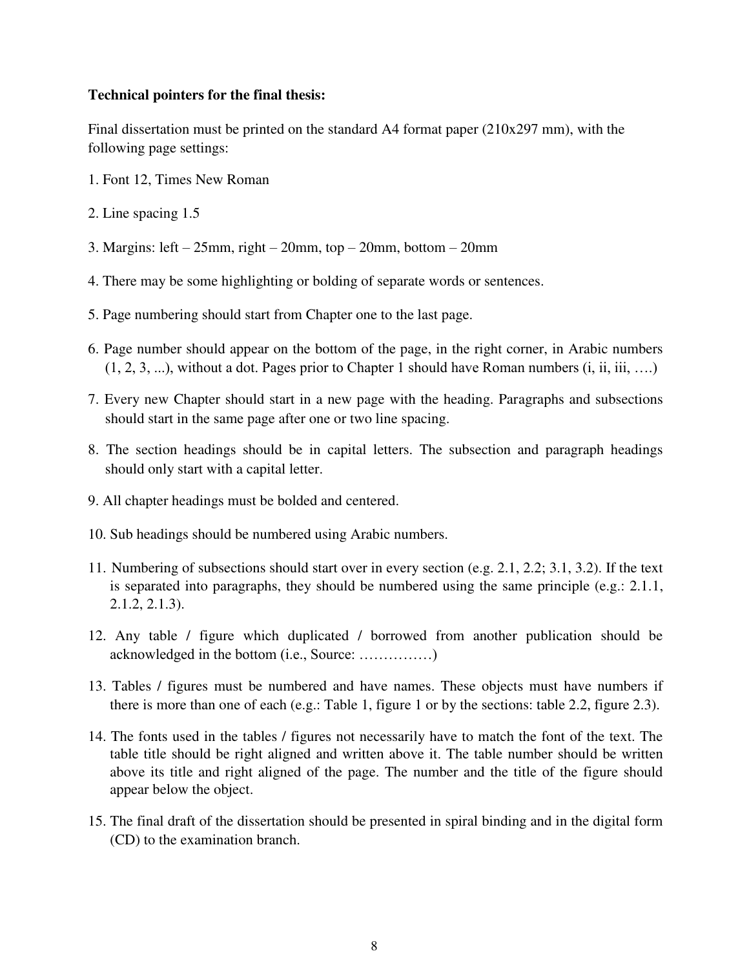## **Technical pointers for the final thesis:**

Final dissertation must be printed on the standard A4 format paper (210x297 mm), with the following page settings:

- 1. Font 12, Times New Roman
- 2. Line spacing 1.5
- 3. Margins: left 25mm, right 20mm, top 20mm, bottom 20mm
- 4. There may be some highlighting or bolding of separate words or sentences.
- 5. Page numbering should start from Chapter one to the last page.
- 6. Page number should appear on the bottom of the page, in the right corner, in Arabic numbers  $(1, 2, 3, \ldots)$ , without a dot. Pages prior to Chapter 1 should have Roman numbers  $(i, ii, iii, \ldots)$
- 7. Every new Chapter should start in a new page with the heading. Paragraphs and subsections should start in the same page after one or two line spacing.
- 8. The section headings should be in capital letters. The subsection and paragraph headings should only start with a capital letter.
- 9. All chapter headings must be bolded and centered.
- 10. Sub headings should be numbered using Arabic numbers.
- 11. Numbering of subsections should start over in every section (e.g. 2.1, 2.2; 3.1, 3.2). If the text is separated into paragraphs, they should be numbered using the same principle (e.g.: 2.1.1, 2.1.2, 2.1.3).
- 12. Any table / figure which duplicated / borrowed from another publication should be acknowledged in the bottom (i.e., Source: ……………)
- 13. Tables / figures must be numbered and have names. These objects must have numbers if there is more than one of each (e.g.: Table 1, figure 1 or by the sections: table 2.2, figure 2.3).
- 14. The fonts used in the tables / figures not necessarily have to match the font of the text. The table title should be right aligned and written above it. The table number should be written above its title and right aligned of the page. The number and the title of the figure should appear below the object.
- 15. The final draft of the dissertation should be presented in spiral binding and in the digital form (CD) to the examination branch.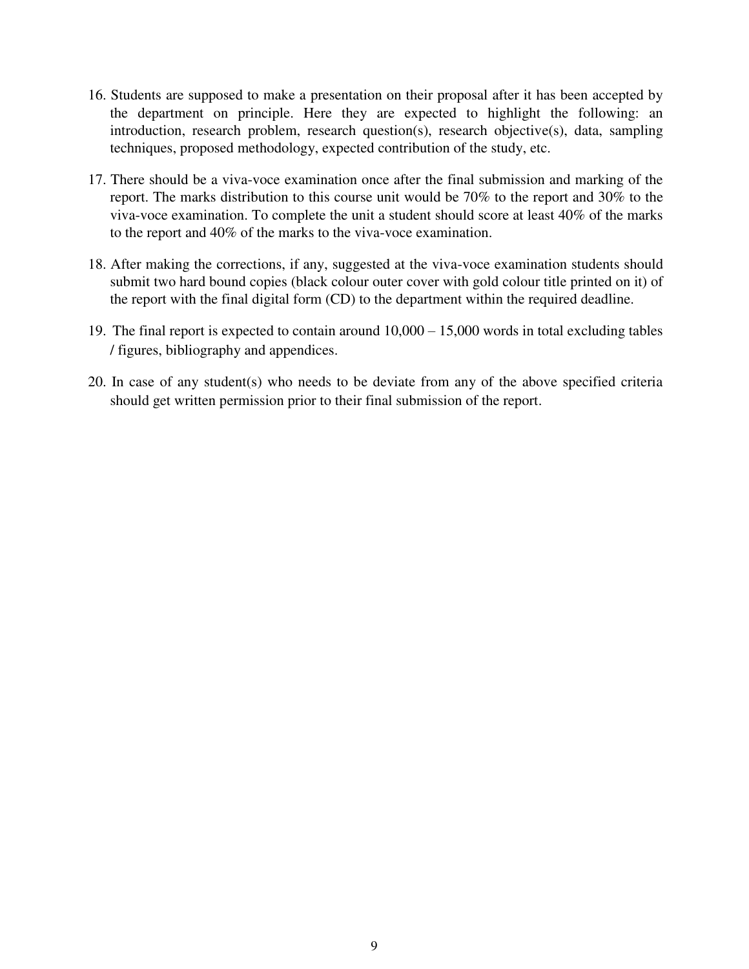- 16. Students are supposed to make a presentation on their proposal after it has been accepted by the department on principle. Here they are expected to highlight the following: an introduction, research problem, research question(s), research objective(s), data, sampling techniques, proposed methodology, expected contribution of the study, etc.
- 17. There should be a viva-voce examination once after the final submission and marking of the report. The marks distribution to this course unit would be 70% to the report and 30% to the viva-voce examination. To complete the unit a student should score at least 40% of the marks to the report and 40% of the marks to the viva-voce examination.
- 18. After making the corrections, if any, suggested at the viva-voce examination students should submit two hard bound copies (black colour outer cover with gold colour title printed on it) of the report with the final digital form (CD) to the department within the required deadline.
- 19. The final report is expected to contain around 10,000 15,000 words in total excluding tables / figures, bibliography and appendices.
- 20. In case of any student(s) who needs to be deviate from any of the above specified criteria should get written permission prior to their final submission of the report.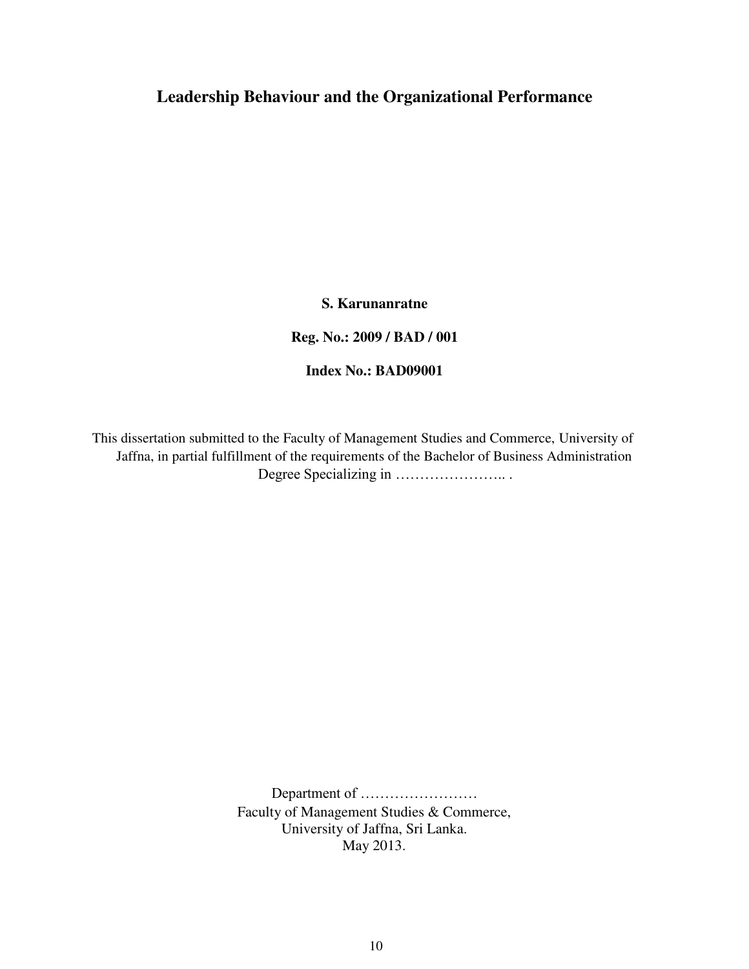## **Leadership Behaviour and the Organizational Performance**

**S. Karunanratne**

**Reg. No.: 2009 / BAD / 001**

**Index No.: BAD09001**

This dissertation submitted to the Faculty of Management Studies and Commerce, University of Jaffna, in partial fulfillment of the requirements of the Bachelor of Business Administration Degree Specializing in ………………….. .

> Department of …………………… Faculty of Management Studies & Commerce, University of Jaffna, Sri Lanka. May 2013.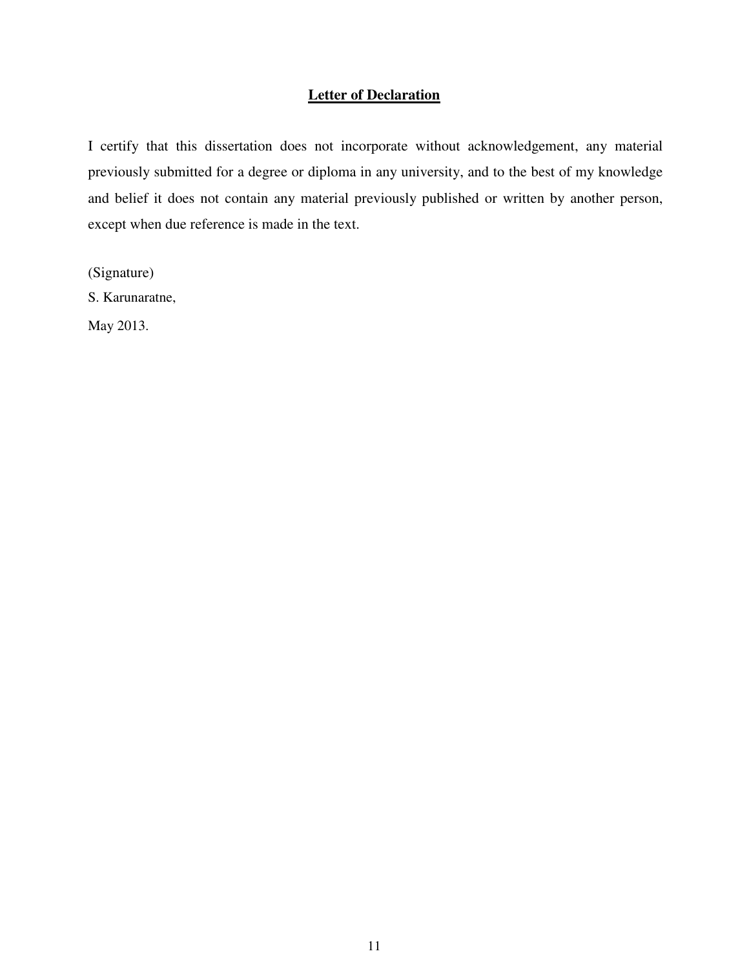## **Letter of Declaration**

I certify that this dissertation does not incorporate without acknowledgement, any material previously submitted for a degree or diploma in any university, and to the best of my knowledge and belief it does not contain any material previously published or written by another person, except when due reference is made in the text.

(Signature)

S. Karunaratne,

May 2013.